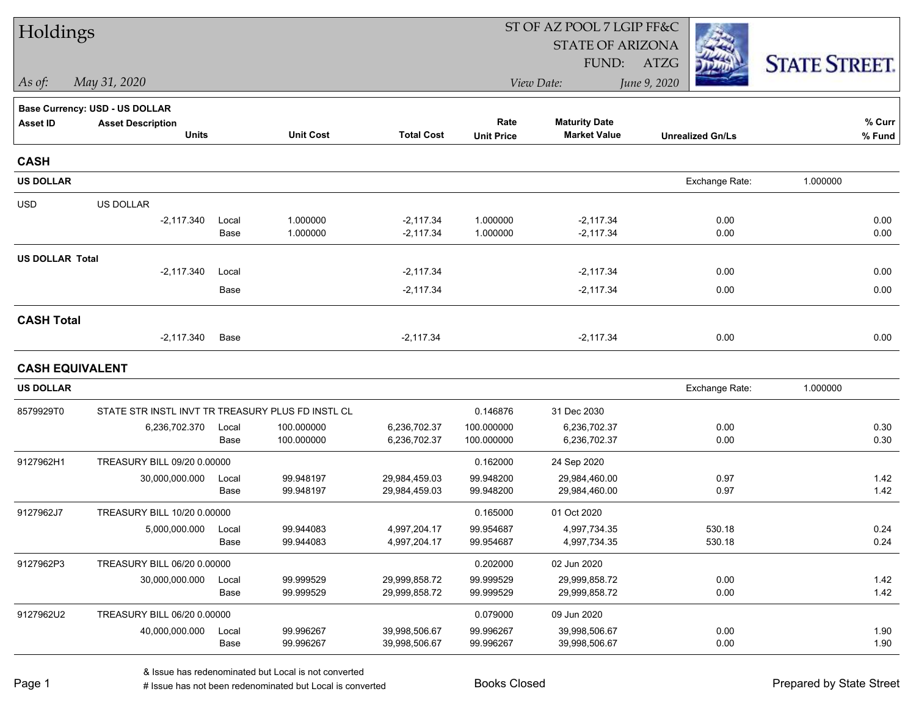| Holdings               |                                                   |               |                        |                                |                        | ST OF AZ POOL 7 LGIP FF&C      |                         |                      |
|------------------------|---------------------------------------------------|---------------|------------------------|--------------------------------|------------------------|--------------------------------|-------------------------|----------------------|
|                        |                                                   |               |                        |                                |                        | <b>STATE OF ARIZONA</b>        |                         |                      |
|                        |                                                   |               |                        |                                |                        | FUND:                          | ATZG                    | <b>STATE STREET.</b> |
| As of:                 | May 31, 2020                                      |               |                        |                                |                        | View Date:                     | June 9, 2020            |                      |
|                        | <b>Base Currency: USD - US DOLLAR</b>             |               |                        |                                |                        |                                |                         |                      |
| <b>Asset ID</b>        | <b>Asset Description</b>                          |               |                        |                                | Rate                   | <b>Maturity Date</b>           |                         | % Curr               |
|                        | <b>Units</b>                                      |               | <b>Unit Cost</b>       | <b>Total Cost</b>              | <b>Unit Price</b>      | <b>Market Value</b>            | <b>Unrealized Gn/Ls</b> | % Fund               |
| <b>CASH</b>            |                                                   |               |                        |                                |                        |                                |                         |                      |
| <b>US DOLLAR</b>       |                                                   |               |                        |                                |                        |                                | Exchange Rate:          | 1.000000             |
| <b>USD</b>             | US DOLLAR                                         |               |                        |                                |                        |                                |                         |                      |
|                        | $-2,117.340$                                      | Local         | 1.000000               | $-2,117.34$                    | 1.000000               | $-2,117.34$                    | 0.00                    | 0.00                 |
|                        |                                                   | Base          | 1.000000               | $-2,117.34$                    | 1.000000               | $-2,117.34$                    | 0.00                    | 0.00                 |
| <b>US DOLLAR Total</b> |                                                   |               |                        |                                |                        |                                |                         |                      |
|                        | $-2,117.340$                                      | Local         |                        | $-2,117.34$                    |                        | $-2,117.34$                    | 0.00                    | 0.00                 |
|                        |                                                   | Base          |                        | $-2,117.34$                    |                        | $-2,117.34$                    | 0.00                    | 0.00                 |
| <b>CASH Total</b>      |                                                   |               |                        |                                |                        |                                |                         |                      |
|                        | $-2,117.340$                                      | Base          |                        | $-2,117.34$                    |                        | $-2,117.34$                    | 0.00                    | 0.00                 |
| <b>CASH EQUIVALENT</b> |                                                   |               |                        |                                |                        |                                |                         |                      |
| <b>US DOLLAR</b>       |                                                   |               |                        |                                |                        |                                | Exchange Rate:          | 1.000000             |
| 8579929T0              | STATE STR INSTL INVT TR TREASURY PLUS FD INSTL CL |               |                        |                                | 0.146876               | 31 Dec 2030                    |                         |                      |
|                        | 6,236,702.370                                     | Local         | 100.000000             | 6,236,702.37                   | 100.000000             | 6,236,702.37                   | 0.00                    | 0.30                 |
|                        |                                                   | Base          | 100.000000             | 6,236,702.37                   | 100.000000             | 6,236,702.37                   | 0.00                    | 0.30                 |
| 9127962H1              | TREASURY BILL 09/20 0.00000                       |               |                        |                                | 0.162000               | 24 Sep 2020                    |                         |                      |
|                        | 30,000,000.000                                    | Local         | 99.948197              | 29,984,459.03                  | 99.948200              | 29,984,460.00                  | 0.97                    | 1.42                 |
|                        |                                                   | Base          | 99.948197              | 29,984,459.03                  | 99.948200              | 29,984,460.00                  | 0.97                    | 1.42                 |
| 9127962J7              | TREASURY BILL 10/20 0.00000                       |               |                        |                                | 0.165000               | 01 Oct 2020                    |                         |                      |
|                        | 5,000,000.000                                     | Local         | 99.944083              | 4,997,204.17                   | 99.954687              | 4,997,734.35                   | 530.18                  | 0.24                 |
|                        |                                                   | Base          | 99.944083              | 4,997,204.17                   | 99.954687              | 4,997,734.35                   | 530.18                  | 0.24                 |
| 9127962P3              | TREASURY BILL 06/20 0.00000                       |               |                        |                                | 0.202000               | 02 Jun 2020                    |                         |                      |
|                        | 30,000,000.000                                    | Local<br>Base | 99.999529<br>99.999529 | 29,999,858.72<br>29,999,858.72 | 99.999529<br>99.999529 | 29,999,858.72<br>29,999,858.72 | 0.00<br>0.00            | 1.42<br>1.42         |
|                        |                                                   |               |                        |                                |                        |                                |                         |                      |
| 9127962U2              | TREASURY BILL 06/20 0.00000                       |               |                        |                                | 0.079000               | 09 Jun 2020                    |                         |                      |
|                        | 40,000,000.000                                    | Local<br>Base | 99.996267<br>99.996267 | 39,998,506.67<br>39,998,506.67 | 99.996267<br>99.996267 | 39,998,506.67<br>39,998,506.67 | 0.00<br>0.00            | 1.90<br>1.90         |
|                        |                                                   |               |                        |                                |                        |                                |                         |                      |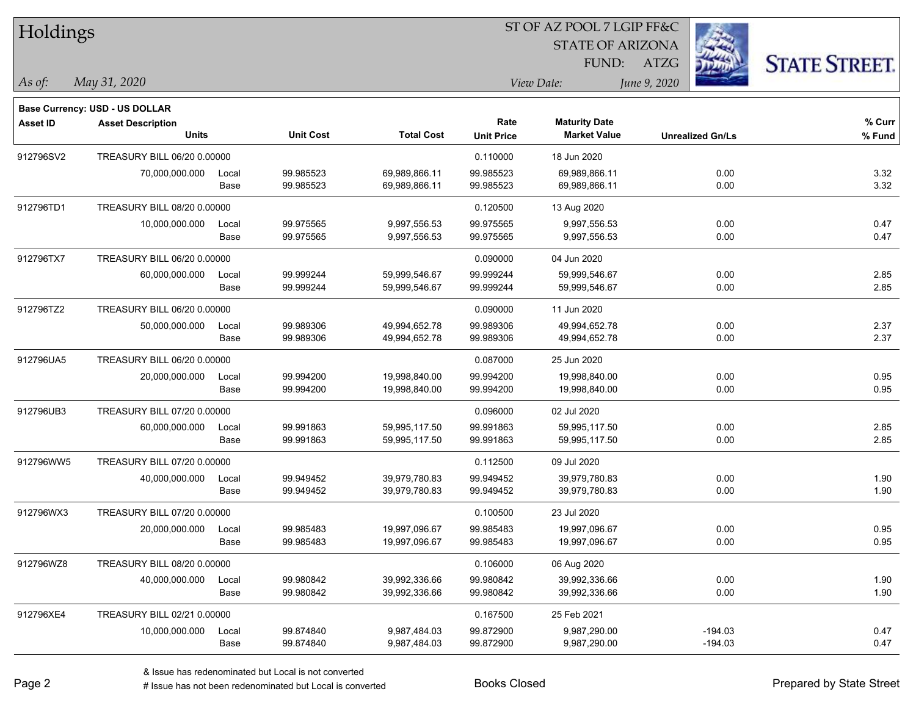| Holdings        |                                |       |                  |                   |                   |                         |              |                         |                      |
|-----------------|--------------------------------|-------|------------------|-------------------|-------------------|-------------------------|--------------|-------------------------|----------------------|
|                 |                                |       |                  |                   |                   | <b>STATE OF ARIZONA</b> |              |                         |                      |
|                 |                                |       |                  |                   |                   | FUND:                   | <b>ATZG</b>  |                         | <b>STATE STREET.</b> |
| As of:          | May 31, 2020                   |       |                  |                   |                   | View Date:              | June 9, 2020 |                         |                      |
|                 | Base Currency: USD - US DOLLAR |       |                  |                   |                   |                         |              |                         |                      |
| <b>Asset ID</b> | <b>Asset Description</b>       |       |                  |                   | Rate              | <b>Maturity Date</b>    |              |                         | % Curr               |
|                 | <b>Units</b>                   |       | <b>Unit Cost</b> | <b>Total Cost</b> | <b>Unit Price</b> | <b>Market Value</b>     |              | <b>Unrealized Gn/Ls</b> | % Fund               |
| 912796SV2       | TREASURY BILL 06/20 0.00000    |       |                  |                   | 0.110000          | 18 Jun 2020             |              |                         |                      |
|                 | 70,000,000.000                 | Local | 99.985523        | 69,989,866.11     | 99.985523         | 69,989,866.11           |              | 0.00                    | 3.32                 |
|                 |                                | Base  | 99.985523        | 69,989,866.11     | 99.985523         | 69,989,866.11           |              | 0.00                    | 3.32                 |
| 912796TD1       | TREASURY BILL 08/20 0.00000    |       |                  |                   | 0.120500          | 13 Aug 2020             |              |                         |                      |
|                 | 10,000,000.000                 | Local | 99.975565        | 9,997,556.53      | 99.975565         | 9,997,556.53            |              | 0.00                    | 0.47                 |
|                 |                                | Base  | 99.975565        | 9,997,556.53      | 99.975565         | 9,997,556.53            |              | 0.00                    | 0.47                 |
| 912796TX7       | TREASURY BILL 06/20 0.00000    |       |                  |                   | 0.090000          | 04 Jun 2020             |              |                         |                      |
|                 | 60,000,000.000                 | Local | 99.999244        | 59,999,546.67     | 99.999244         | 59,999,546.67           |              | 0.00                    | 2.85                 |
|                 |                                | Base  | 99.999244        | 59,999,546.67     | 99.999244         | 59,999,546.67           |              | 0.00                    | 2.85                 |
| 912796TZ2       | TREASURY BILL 06/20 0.00000    |       |                  |                   | 0.090000          | 11 Jun 2020             |              |                         |                      |
|                 | 50,000,000.000                 | Local | 99.989306        | 49,994,652.78     | 99.989306         | 49,994,652.78           |              | 0.00                    | 2.37                 |
|                 |                                | Base  | 99.989306        | 49,994,652.78     | 99.989306         | 49,994,652.78           |              | 0.00                    | 2.37                 |
| 912796UA5       | TREASURY BILL 06/20 0.00000    |       |                  |                   | 0.087000          | 25 Jun 2020             |              |                         |                      |
|                 | 20,000,000.000                 | Local | 99.994200        | 19,998,840.00     | 99.994200         | 19,998,840.00           |              | 0.00                    | 0.95                 |
|                 |                                | Base  | 99.994200        | 19,998,840.00     | 99.994200         | 19,998,840.00           |              | 0.00                    | 0.95                 |
| 912796UB3       | TREASURY BILL 07/20 0.00000    |       |                  |                   | 0.096000          | 02 Jul 2020             |              |                         |                      |
|                 | 60,000,000.000                 | Local | 99.991863        | 59,995,117.50     | 99.991863         | 59,995,117.50           |              | 0.00                    | 2.85                 |
|                 |                                | Base  | 99.991863        | 59,995,117.50     | 99.991863         | 59,995,117.50           |              | 0.00                    | 2.85                 |
| 912796WW5       | TREASURY BILL 07/20 0.00000    |       |                  |                   | 0.112500          | 09 Jul 2020             |              |                         |                      |
|                 | 40,000,000.000                 | Local | 99.949452        | 39,979,780.83     | 99.949452         | 39,979,780.83           |              | 0.00                    | 1.90                 |
|                 |                                | Base  | 99.949452        | 39,979,780.83     | 99.949452         | 39,979,780.83           |              | 0.00                    | 1.90                 |
| 912796WX3       | TREASURY BILL 07/20 0.00000    |       |                  |                   | 0.100500          | 23 Jul 2020             |              |                         |                      |
|                 | 20,000,000.000                 | Local | 99.985483        | 19,997,096.67     | 99.985483         | 19,997,096.67           |              | 0.00                    | 0.95                 |
|                 |                                | Base  | 99.985483        | 19,997,096.67     | 99.985483         | 19,997,096.67           |              | 0.00                    | 0.95                 |
| 912796WZ8       | TREASURY BILL 08/20 0.00000    |       |                  |                   | 0.106000          | 06 Aug 2020             |              |                         |                      |
|                 | 40,000,000.000                 | Local | 99.980842        | 39,992,336.66     | 99.980842         | 39,992,336.66           |              | 0.00                    | 1.90                 |
|                 |                                | Base  | 99.980842        | 39,992,336.66     | 99.980842         | 39,992,336.66           |              | 0.00                    | 1.90                 |
| 912796XE4       | TREASURY BILL 02/21 0.00000    |       |                  |                   | 0.167500          | 25 Feb 2021             |              |                         |                      |
|                 | 10,000,000.000                 | Local | 99.874840        | 9,987,484.03      | 99.872900         | 9,987,290.00            |              | $-194.03$               | 0.47                 |
|                 |                                | Base  | 99.874840        | 9,987,484.03      | 99.872900         | 9,987,290.00            |              | $-194.03$               | 0.47                 |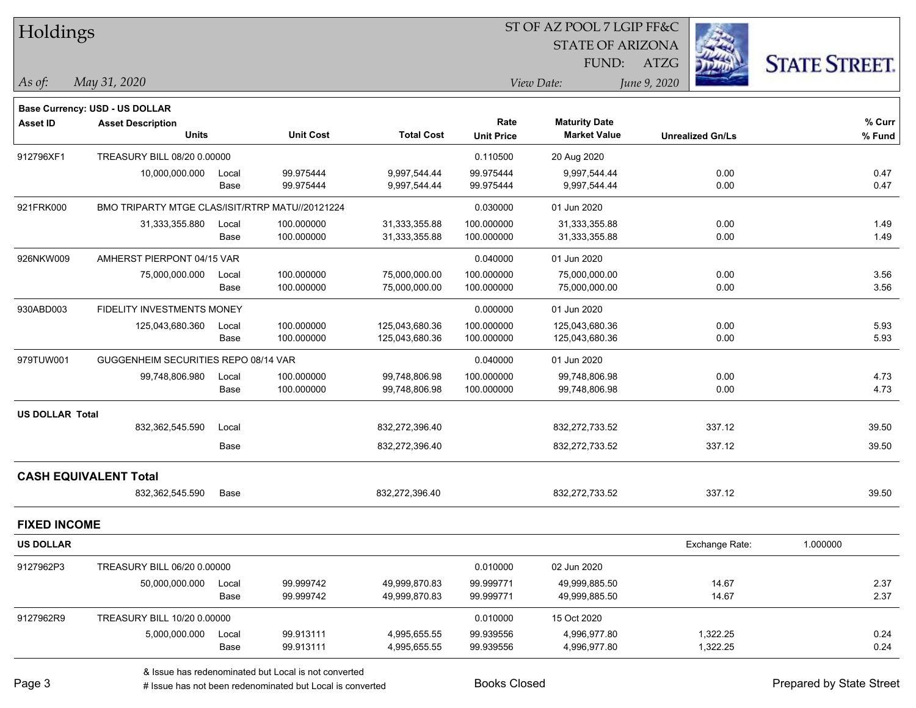| Holdings               |                                                 |       |                  |                   |                   | ST OF AZ POOL 7 LGIP FF&C |                         |                      |
|------------------------|-------------------------------------------------|-------|------------------|-------------------|-------------------|---------------------------|-------------------------|----------------------|
|                        |                                                 |       |                  |                   |                   | <b>STATE OF ARIZONA</b>   |                         |                      |
|                        |                                                 |       |                  |                   |                   | FUND:                     | ATZG                    | <b>STATE STREET.</b> |
| $\vert$ As of:         | May 31, 2020                                    |       |                  |                   |                   | View Date:                | June 9, 2020            |                      |
|                        | <b>Base Currency: USD - US DOLLAR</b>           |       |                  |                   |                   |                           |                         |                      |
| <b>Asset ID</b>        | <b>Asset Description</b>                        |       |                  |                   | Rate              | <b>Maturity Date</b>      |                         | % Curr               |
|                        | <b>Units</b>                                    |       | <b>Unit Cost</b> | <b>Total Cost</b> | <b>Unit Price</b> | <b>Market Value</b>       | <b>Unrealized Gn/Ls</b> | % Fund               |
| 912796XF1              | TREASURY BILL 08/20 0.00000                     |       |                  |                   | 0.110500          | 20 Aug 2020               |                         |                      |
|                        | 10,000,000.000                                  | Local | 99.975444        | 9,997,544.44      | 99.975444         | 9,997,544.44              | 0.00                    | 0.47                 |
|                        |                                                 | Base  | 99.975444        | 9,997,544.44      | 99.975444         | 9,997,544.44              | 0.00                    | 0.47                 |
| 921FRK000              | BMO TRIPARTY MTGE CLAS/ISIT/RTRP MATU//20121224 |       |                  |                   | 0.030000          | 01 Jun 2020               |                         |                      |
|                        | 31,333,355.880                                  | Local | 100.000000       | 31,333,355.88     | 100.000000        | 31,333,355.88             | 0.00                    | 1.49                 |
|                        |                                                 | Base  | 100.000000       | 31,333,355.88     | 100.000000        | 31,333,355.88             | 0.00                    | 1.49                 |
| 926NKW009              | AMHERST PIERPONT 04/15 VAR                      |       |                  |                   | 0.040000          | 01 Jun 2020               |                         |                      |
|                        | 75,000,000.000                                  | Local | 100.000000       | 75,000,000.00     | 100.000000        | 75,000,000.00             | 0.00                    | 3.56                 |
|                        |                                                 | Base  | 100.000000       | 75,000,000.00     | 100.000000        | 75,000,000.00             | 0.00                    | 3.56                 |
| 930ABD003              | FIDELITY INVESTMENTS MONEY                      |       |                  |                   | 0.000000          | 01 Jun 2020               |                         |                      |
|                        | 125,043,680.360                                 | Local | 100.000000       | 125,043,680.36    | 100.000000        | 125,043,680.36            | 0.00                    | 5.93                 |
|                        |                                                 | Base  | 100.000000       | 125,043,680.36    | 100.000000        | 125,043,680.36            | 0.00                    | 5.93                 |
| 979TUW001              | GUGGENHEIM SECURITIES REPO 08/14 VAR            |       |                  |                   | 0.040000          | 01 Jun 2020               |                         |                      |
|                        | 99,748,806.980                                  | Local | 100.000000       | 99,748,806.98     | 100.000000        | 99,748,806.98             | 0.00                    | 4.73                 |
|                        |                                                 | Base  | 100.000000       | 99,748,806.98     | 100.000000        | 99,748,806.98             | 0.00                    | 4.73                 |
| <b>US DOLLAR Total</b> |                                                 |       |                  |                   |                   |                           |                         |                      |
|                        | 832,362,545.590                                 | Local |                  | 832,272,396.40    |                   | 832,272,733.52            | 337.12                  | 39.50                |
|                        |                                                 | Base  |                  | 832,272,396.40    |                   | 832,272,733.52            | 337.12                  | 39.50                |
|                        | <b>CASH EQUIVALENT Total</b>                    |       |                  |                   |                   |                           |                         |                      |
|                        | 832,362,545.590                                 | Base  |                  | 832,272,396.40    |                   | 832,272,733.52            | 337.12                  | 39.50                |
| <b>FIXED INCOME</b>    |                                                 |       |                  |                   |                   |                           |                         |                      |
| <b>US DOLLAR</b>       |                                                 |       |                  |                   |                   |                           | Exchange Rate:          | 1.000000             |
| 9127962P3              | TREASURY BILL 06/20 0.00000                     |       |                  |                   | 0.010000          | 02 Jun 2020               |                         |                      |
|                        | 50,000,000.000                                  | Local | 99.999742        | 49,999,870.83     | 99.999771         | 49,999,885.50             | 14.67                   | 2.37                 |
|                        |                                                 | Base  | 99.999742        | 49,999,870.83     | 99.999771         | 49,999,885.50             | 14.67                   | 2.37                 |
| 9127962R9              | TREASURY BILL 10/20 0.00000                     |       |                  |                   | 0.010000          | 15 Oct 2020               |                         |                      |
|                        | 5,000,000.000                                   | Local | 99.913111        | 4,995,655.55      | 99.939556         | 4,996,977.80              | 1,322.25                | 0.24                 |
|                        |                                                 | Base  | 99.913111        | 4,995,655.55      | 99.939556         | 4,996,977.80              | 1,322.25                | 0.24                 |
|                        |                                                 |       |                  |                   |                   |                           |                         |                      |

& Issue has redenominated but Local is not converted

Page 3

# Issue has not been redenominated but Local is converted Books Closed Prepared by State Street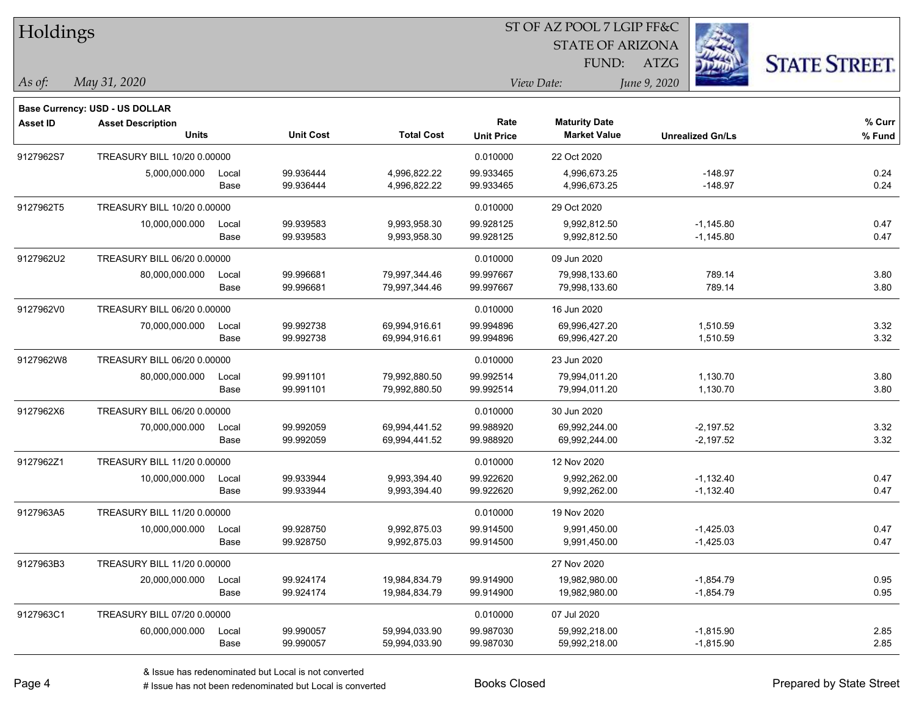| Holdings        |                                    |       |                  |                   |                   |                         |                         |                      |
|-----------------|------------------------------------|-------|------------------|-------------------|-------------------|-------------------------|-------------------------|----------------------|
|                 |                                    |       |                  |                   |                   | <b>STATE OF ARIZONA</b> |                         |                      |
|                 |                                    |       |                  |                   |                   | FUND:                   | <b>ATZG</b>             | <b>STATE STREET.</b> |
| As of:          | May 31, 2020                       |       |                  |                   |                   | View Date:              | June 9, 2020            |                      |
|                 | Base Currency: USD - US DOLLAR     |       |                  |                   |                   |                         |                         |                      |
| <b>Asset ID</b> | <b>Asset Description</b>           |       |                  |                   | Rate              | <b>Maturity Date</b>    |                         | % Curr               |
|                 | <b>Units</b>                       |       | <b>Unit Cost</b> | <b>Total Cost</b> | <b>Unit Price</b> | <b>Market Value</b>     | <b>Unrealized Gn/Ls</b> | % Fund               |
| 9127962S7       | TREASURY BILL 10/20 0.00000        |       |                  |                   | 0.010000          | 22 Oct 2020             |                         |                      |
|                 | 5,000,000.000                      | Local | 99.936444        | 4,996,822.22      | 99.933465         | 4,996,673.25            | -148.97                 | 0.24                 |
|                 |                                    | Base  | 99.936444        | 4,996,822.22      | 99.933465         | 4,996,673.25            | $-148.97$               | 0.24                 |
| 9127962T5       | <b>TREASURY BILL 10/20 0.00000</b> |       |                  |                   | 0.010000          | 29 Oct 2020             |                         |                      |
|                 | 10,000,000.000                     | Local | 99.939583        | 9,993,958.30      | 99.928125         | 9,992,812.50            | $-1,145.80$             | 0.47                 |
|                 |                                    | Base  | 99.939583        | 9,993,958.30      | 99.928125         | 9,992,812.50            | $-1,145.80$             | 0.47                 |
| 9127962U2       | TREASURY BILL 06/20 0.00000        |       |                  |                   | 0.010000          | 09 Jun 2020             |                         |                      |
|                 | 80,000,000.000                     | Local | 99.996681        | 79,997,344.46     | 99.997667         | 79,998,133.60           | 789.14                  | 3.80                 |
|                 |                                    | Base  | 99.996681        | 79,997,344.46     | 99.997667         | 79,998,133.60           | 789.14                  | 3.80                 |
| 9127962V0       | TREASURY BILL 06/20 0.00000        |       |                  |                   | 0.010000          | 16 Jun 2020             |                         |                      |
|                 | 70,000,000.000                     | Local | 99.992738        | 69,994,916.61     | 99.994896         | 69,996,427.20           | 1,510.59                | 3.32                 |
|                 |                                    | Base  | 99.992738        | 69,994,916.61     | 99.994896         | 69,996,427.20           | 1,510.59                | 3.32                 |
| 9127962W8       | TREASURY BILL 06/20 0.00000        |       |                  |                   | 0.010000          | 23 Jun 2020             |                         |                      |
|                 | 80,000,000.000                     | Local | 99.991101        | 79,992,880.50     | 99.992514         | 79,994,011.20           | 1,130.70                | 3.80                 |
|                 |                                    | Base  | 99.991101        | 79,992,880.50     | 99.992514         | 79,994,011.20           | 1,130.70                | 3.80                 |
| 9127962X6       | TREASURY BILL 06/20 0.00000        |       |                  |                   | 0.010000          | 30 Jun 2020             |                         |                      |
|                 | 70,000,000.000                     | Local | 99.992059        | 69,994,441.52     | 99.988920         | 69,992,244.00           | $-2,197.52$             | 3.32                 |
|                 |                                    | Base  | 99.992059        | 69,994,441.52     | 99.988920         | 69,992,244.00           | $-2,197.52$             | 3.32                 |
| 9127962Z1       | TREASURY BILL 11/20 0.00000        |       |                  |                   | 0.010000          | 12 Nov 2020             |                         |                      |
|                 | 10,000,000.000                     | Local | 99.933944        | 9,993,394.40      | 99.922620         | 9,992,262.00            | $-1,132.40$             | 0.47                 |
|                 |                                    | Base  | 99.933944        | 9,993,394.40      | 99.922620         | 9,992,262.00            | $-1,132.40$             | 0.47                 |
| 9127963A5       | <b>TREASURY BILL 11/20 0.00000</b> |       |                  |                   | 0.010000          | 19 Nov 2020             |                         |                      |
|                 | 10,000,000.000                     | Local | 99.928750        | 9,992,875.03      | 99.914500         | 9,991,450.00            | $-1,425.03$             | 0.47                 |
|                 |                                    | Base  | 99.928750        | 9,992,875.03      | 99.914500         | 9,991,450.00            | $-1,425.03$             | 0.47                 |
| 9127963B3       | TREASURY BILL 11/20 0.00000        |       |                  |                   |                   | 27 Nov 2020             |                         |                      |
|                 | 20,000,000.000                     | Local | 99.924174        | 19,984,834.79     | 99.914900         | 19,982,980.00           | $-1,854.79$             | 0.95                 |
|                 |                                    | Base  | 99.924174        | 19,984,834.79     | 99.914900         | 19,982,980.00           | $-1,854.79$             | 0.95                 |
| 9127963C1       | TREASURY BILL 07/20 0.00000        |       |                  |                   | 0.010000          | 07 Jul 2020             |                         |                      |
|                 | 60,000,000.000                     | Local | 99.990057        | 59,994,033.90     | 99.987030         | 59,992,218.00           | $-1,815.90$             | 2.85                 |
|                 |                                    | Base  | 99.990057        | 59,994,033.90     | 99.987030         | 59,992,218.00           | $-1,815.90$             | 2.85                 |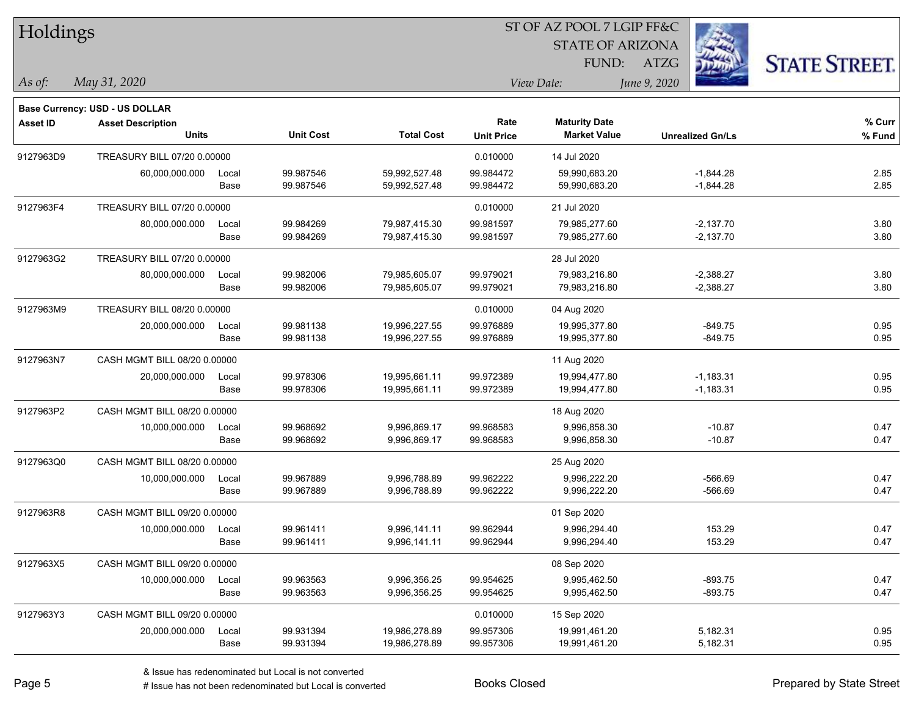| Holdings        |                                       |       |                  |                   |                   | 51 OF AZ POOL 7 LGIP FF&C |                         |                      |
|-----------------|---------------------------------------|-------|------------------|-------------------|-------------------|---------------------------|-------------------------|----------------------|
|                 |                                       |       |                  |                   |                   | <b>STATE OF ARIZONA</b>   | i.                      |                      |
|                 |                                       |       |                  |                   |                   | FUND:                     | ATZG                    | <b>STATE STREET.</b> |
| As of:          | May 31, 2020                          |       |                  |                   |                   | View Date:                | June 9, 2020            |                      |
|                 | <b>Base Currency: USD - US DOLLAR</b> |       |                  |                   |                   |                           |                         |                      |
| <b>Asset ID</b> | <b>Asset Description</b>              |       |                  |                   | Rate              | <b>Maturity Date</b>      |                         | $%$ Curr             |
|                 | <b>Units</b>                          |       | <b>Unit Cost</b> | <b>Total Cost</b> | <b>Unit Price</b> | <b>Market Value</b>       | <b>Unrealized Gn/Ls</b> | $%$ Fund             |
| 9127963D9       | TREASURY BILL 07/20 0.00000           |       |                  |                   | 0.010000          | 14 Jul 2020               |                         |                      |
|                 | 60,000,000.000                        | Local | 99.987546        | 59,992,527.48     | 99.984472         | 59,990,683.20             | $-1,844.28$             | 2.85                 |
|                 |                                       | Base  | 99.987546        | 59,992,527.48     | 99.984472         | 59,990,683.20             | $-1,844.28$             | 2.85                 |
| 9127963F4       | TREASURY BILL 07/20 0.00000           |       |                  |                   | 0.010000          | 21 Jul 2020               |                         |                      |
|                 | 80,000,000.000                        | Local | 99.984269        | 79,987,415.30     | 99.981597         | 79,985,277.60             | $-2,137.70$             | 3.80                 |
|                 |                                       | Base  | 99.984269        | 79,987,415.30     | 99.981597         | 79,985,277.60             | $-2,137.70$             | 3.80                 |
| 9127963G2       | TREASURY BILL 07/20 0.00000           |       |                  |                   |                   | 28 Jul 2020               |                         |                      |
|                 | 80,000,000.000                        | Local | 99.982006        | 79,985,605.07     | 99.979021         | 79,983,216.80             | $-2,388.27$             | 3.80                 |
|                 |                                       | Base  | 99.982006        | 79,985,605.07     | 99.979021         | 79,983,216.80             | $-2,388.27$             | 3.80                 |
| 9127963M9       | TREASURY BILL 08/20 0.00000           |       |                  |                   | 0.010000          | 04 Aug 2020               |                         |                      |
|                 | 20,000,000.000                        | Local | 99.981138        | 19,996,227.55     | 99.976889         | 19,995,377.80             | $-849.75$               | 0.95                 |
|                 |                                       | Base  | 99.981138        | 19,996,227.55     | 99.976889         | 19,995,377.80             | $-849.75$               | 0.95                 |
| 9127963N7       | CASH MGMT BILL 08/20 0.00000          |       |                  |                   |                   | 11 Aug 2020               |                         |                      |
|                 | 20,000,000.000                        | Local | 99.978306        | 19,995,661.11     | 99.972389         | 19,994,477.80             | $-1,183.31$             | 0.95                 |
|                 |                                       | Base  | 99.978306        | 19,995,661.11     | 99.972389         | 19,994,477.80             | $-1,183.31$             | 0.95                 |
| 9127963P2       | CASH MGMT BILL 08/20 0.00000          |       |                  |                   |                   | 18 Aug 2020               |                         |                      |
|                 | 10,000,000.000                        | Local | 99.968692        | 9,996,869.17      | 99.968583         | 9,996,858.30              | $-10.87$                | 0.47                 |
|                 |                                       | Base  | 99.968692        | 9,996,869.17      | 99.968583         | 9,996,858.30              | $-10.87$                | 0.47                 |
| 9127963Q0       | CASH MGMT BILL 08/20 0.00000          |       |                  |                   |                   | 25 Aug 2020               |                         |                      |
|                 | 10,000,000.000                        | Local | 99.967889        | 9,996,788.89      | 99.962222         | 9,996,222.20              | $-566.69$               | 0.47                 |
|                 |                                       | Base  | 99.967889        | 9,996,788.89      | 99.962222         | 9,996,222.20              | $-566.69$               | 0.47                 |
| 9127963R8       | CASH MGMT BILL 09/20 0.00000          |       |                  |                   |                   | 01 Sep 2020               |                         |                      |
|                 | 10,000,000.000                        | Local | 99.961411        | 9,996,141.11      | 99.962944         | 9,996,294.40              | 153.29                  | 0.47                 |
|                 |                                       | Base  | 99.961411        | 9,996,141.11      | 99.962944         | 9,996,294.40              | 153.29                  | 0.47                 |
| 9127963X5       | CASH MGMT BILL 09/20 0.00000          |       |                  |                   |                   | 08 Sep 2020               |                         |                      |
|                 | 10,000,000.000                        | Local | 99.963563        | 9,996,356.25      | 99.954625         | 9,995,462.50              | $-893.75$               | 0.47                 |
|                 |                                       | Base  | 99.963563        | 9,996,356.25      | 99.954625         | 9,995,462.50              | $-893.75$               | 0.47                 |
| 9127963Y3       | CASH MGMT BILL 09/20 0.00000          |       |                  |                   | 0.010000          | 15 Sep 2020               |                         |                      |
|                 | 20,000,000.000                        | Local | 99.931394        | 19,986,278.89     | 99.957306         | 19,991,461.20             | 5,182.31                | 0.95                 |
|                 |                                       | Base  | 99.931394        | 19,986,278.89     | 99.957306         | 19,991,461.20             | 5,182.31                | 0.95                 |

 $ST$  OF A Z POOL 7 LCIP FF&C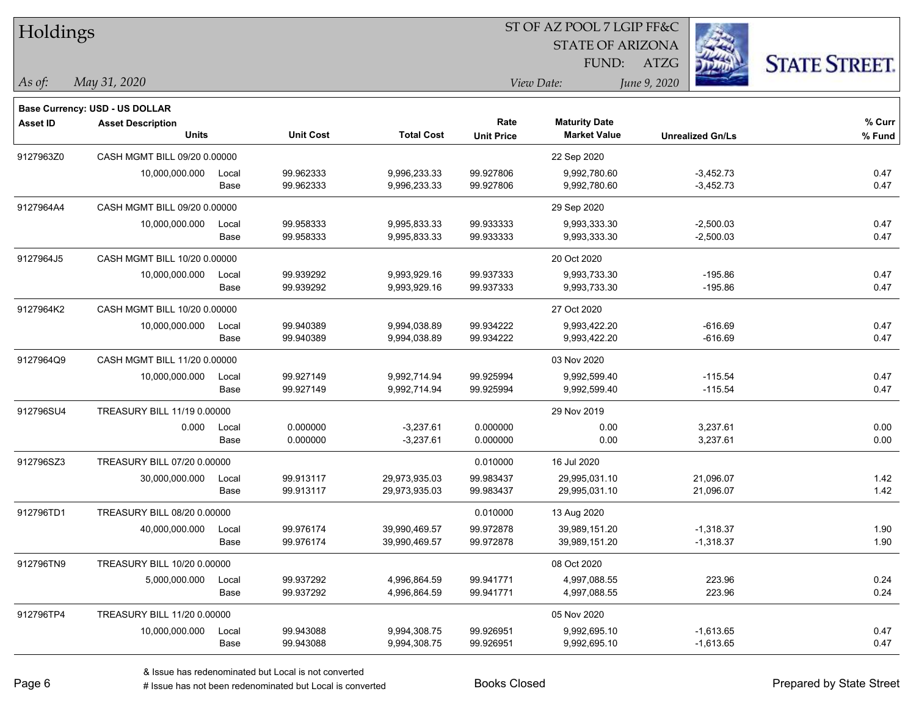| Holdings        |                                       |       |                  |                   |                   | ST OF AZ POOL 7 LGIP FF&C |                         |                      |
|-----------------|---------------------------------------|-------|------------------|-------------------|-------------------|---------------------------|-------------------------|----------------------|
|                 |                                       |       |                  |                   |                   | <b>STATE OF ARIZONA</b>   |                         |                      |
|                 |                                       |       |                  |                   |                   | FUND:                     | ATZG                    | <b>STATE STREET.</b> |
| As of:          | May 31, 2020                          |       |                  |                   |                   | View Date:                | June 9, 2020            |                      |
|                 | <b>Base Currency: USD - US DOLLAR</b> |       |                  |                   |                   |                           |                         |                      |
| <b>Asset ID</b> | <b>Asset Description</b>              |       |                  |                   | Rate              | <b>Maturity Date</b>      |                         | % Curr               |
|                 | <b>Units</b>                          |       | <b>Unit Cost</b> | <b>Total Cost</b> | <b>Unit Price</b> | <b>Market Value</b>       | <b>Unrealized Gn/Ls</b> | % Fund               |
| 9127963Z0       | CASH MGMT BILL 09/20 0.00000          |       |                  |                   |                   | 22 Sep 2020               |                         |                      |
|                 | 10,000,000.000                        | Local | 99.962333        | 9,996,233.33      | 99.927806         | 9,992,780.60              | $-3,452.73$             | 0.47                 |
|                 |                                       | Base  | 99.962333        | 9,996,233.33      | 99.927806         | 9,992,780.60              | $-3,452.73$             | 0.47                 |
| 9127964A4       | CASH MGMT BILL 09/20 0.00000          |       |                  |                   |                   | 29 Sep 2020               |                         |                      |
|                 | 10,000,000.000                        | Local | 99.958333        | 9,995,833.33      | 99.933333         | 9,993,333.30              | $-2,500.03$             | 0.47                 |
|                 |                                       | Base  | 99.958333        | 9,995,833.33      | 99.933333         | 9,993,333.30              | $-2,500.03$             | 0.47                 |
| 9127964J5       | CASH MGMT BILL 10/20 0.00000          |       |                  |                   |                   | 20 Oct 2020               |                         |                      |
|                 | 10,000,000.000                        | Local | 99.939292        | 9,993,929.16      | 99.937333         | 9,993,733.30              | $-195.86$               | 0.47                 |
|                 |                                       | Base  | 99.939292        | 9,993,929.16      | 99.937333         | 9,993,733.30              | $-195.86$               | 0.47                 |
| 9127964K2       | CASH MGMT BILL 10/20 0.00000          |       |                  |                   |                   | 27 Oct 2020               |                         |                      |
|                 | 10,000,000.000                        | Local | 99.940389        | 9,994,038.89      | 99.934222         | 9,993,422.20              | $-616.69$               | 0.47                 |
|                 |                                       | Base  | 99.940389        | 9,994,038.89      | 99.934222         | 9,993,422.20              | $-616.69$               | 0.47                 |
| 9127964Q9       | CASH MGMT BILL 11/20 0.00000          |       |                  |                   |                   | 03 Nov 2020               |                         |                      |
|                 | 10,000,000.000                        | Local | 99.927149        | 9,992,714.94      | 99.925994         | 9,992,599.40              | -115.54                 | 0.47                 |
|                 |                                       | Base  | 99.927149        | 9,992,714.94      | 99.925994         | 9,992,599.40              | $-115.54$               | 0.47                 |
| 912796SU4       | TREASURY BILL 11/19 0.00000           |       |                  |                   |                   | 29 Nov 2019               |                         |                      |
|                 | 0.000                                 | Local | 0.000000         | $-3,237.61$       | 0.000000          | 0.00                      | 3,237.61                | 0.00                 |
|                 |                                       | Base  | 0.000000         | $-3,237.61$       | 0.000000          | 0.00                      | 3,237.61                | 0.00                 |
| 912796SZ3       | TREASURY BILL 07/20 0.00000           |       |                  |                   | 0.010000          | 16 Jul 2020               |                         |                      |
|                 | 30,000,000.000                        | Local | 99.913117        | 29,973,935.03     | 99.983437         | 29,995,031.10             | 21,096.07               | 1.42                 |
|                 |                                       | Base  | 99.913117        | 29,973,935.03     | 99.983437         | 29,995,031.10             | 21,096.07               | 1.42                 |
| 912796TD1       | TREASURY BILL 08/20 0.00000           |       |                  |                   | 0.010000          | 13 Aug 2020               |                         |                      |
|                 | 40,000,000.000                        | Local | 99.976174        | 39,990,469.57     | 99.972878         | 39,989,151.20             | $-1,318.37$             | 1.90                 |
|                 |                                       | Base  | 99.976174        | 39,990,469.57     | 99.972878         | 39,989,151.20             | $-1,318.37$             | 1.90                 |
| 912796TN9       | TREASURY BILL 10/20 0.00000           |       |                  |                   |                   | 08 Oct 2020               |                         |                      |
|                 | 5,000,000.000                         | Local | 99.937292        | 4,996,864.59      | 99.941771         | 4,997,088.55              | 223.96                  | 0.24                 |
|                 |                                       | Base  | 99.937292        | 4,996,864.59      | 99.941771         | 4,997,088.55              | 223.96                  | 0.24                 |
| 912796TP4       | TREASURY BILL 11/20 0.00000           |       |                  |                   |                   | 05 Nov 2020               |                         |                      |
|                 | 10,000,000.000                        | Local | 99.943088        | 9,994,308.75      | 99.926951         | 9,992,695.10              | $-1,613.65$             | 0.47                 |
|                 |                                       | Base  | 99.943088        | 9,994,308.75      | 99.926951         | 9,992,695.10              | $-1,613.65$             | 0.47                 |

denote the redenominated but Local is converted Books Closed Prepared by State Street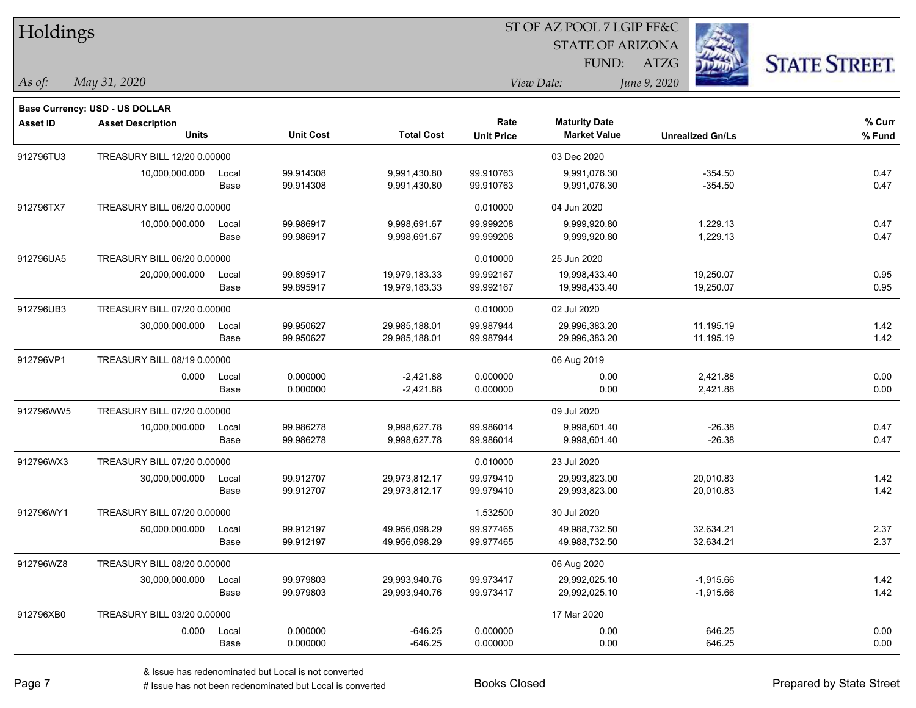| Holdings        |                                                                   |       |                  |                   |                   | ST OF AZ POOL 7 LGIP FF&C |                         |                      |
|-----------------|-------------------------------------------------------------------|-------|------------------|-------------------|-------------------|---------------------------|-------------------------|----------------------|
|                 |                                                                   |       |                  |                   |                   | <b>STATE OF ARIZONA</b>   |                         |                      |
|                 |                                                                   |       |                  |                   |                   | FUND:                     | ATZG                    | <b>STATE STREET.</b> |
| As of:          | May 31, 2020                                                      |       |                  |                   |                   | View Date:                | June 9, 2020            |                      |
|                 |                                                                   |       |                  |                   |                   |                           |                         |                      |
| <b>Asset ID</b> | <b>Base Currency: USD - US DOLLAR</b><br><b>Asset Description</b> |       |                  |                   | Rate              | <b>Maturity Date</b>      |                         | $%$ Curr             |
|                 | <b>Units</b>                                                      |       | <b>Unit Cost</b> | <b>Total Cost</b> | <b>Unit Price</b> | <b>Market Value</b>       | <b>Unrealized Gn/Ls</b> | % Fund               |
| 912796TU3       | TREASURY BILL 12/20 0.00000                                       |       |                  |                   |                   | 03 Dec 2020               |                         |                      |
|                 | 10,000,000.000                                                    | Local | 99.914308        | 9,991,430.80      | 99.910763         | 9,991,076.30              | $-354.50$               | 0.47                 |
|                 |                                                                   | Base  | 99.914308        | 9,991,430.80      | 99.910763         | 9,991,076.30              | $-354.50$               | 0.47                 |
| 912796TX7       | TREASURY BILL 06/20 0.00000                                       |       |                  |                   | 0.010000          | 04 Jun 2020               |                         |                      |
|                 | 10,000,000.000                                                    | Local | 99.986917        | 9,998,691.67      | 99.999208         | 9,999,920.80              | 1,229.13                | 0.47                 |
|                 |                                                                   | Base  | 99.986917        | 9,998,691.67      | 99.999208         | 9,999,920.80              | 1,229.13                | 0.47                 |
| 912796UA5       | TREASURY BILL 06/20 0.00000                                       |       |                  |                   | 0.010000          | 25 Jun 2020               |                         |                      |
|                 | 20,000,000.000                                                    | Local | 99.895917        | 19,979,183.33     | 99.992167         | 19,998,433.40             | 19,250.07               | 0.95                 |
|                 |                                                                   | Base  | 99.895917        | 19,979,183.33     | 99.992167         | 19,998,433.40             | 19,250.07               | 0.95                 |
| 912796UB3       | TREASURY BILL 07/20 0.00000                                       |       |                  |                   | 0.010000          | 02 Jul 2020               |                         |                      |
|                 | 30,000,000.000                                                    | Local | 99.950627        | 29,985,188.01     | 99.987944         | 29,996,383.20             | 11,195.19               | 1.42                 |
|                 |                                                                   | Base  | 99.950627        | 29,985,188.01     | 99.987944         | 29,996,383.20             | 11,195.19               | 1.42                 |
| 912796VP1       | TREASURY BILL 08/19 0.00000                                       |       |                  |                   |                   | 06 Aug 2019               |                         |                      |
|                 | 0.000                                                             | Local | 0.000000         | $-2,421.88$       | 0.000000          | 0.00                      | 2,421.88                | 0.00                 |
|                 |                                                                   | Base  | 0.000000         | $-2,421.88$       | 0.000000          | 0.00                      | 2,421.88                | 0.00                 |
| 912796WW5       | TREASURY BILL 07/20 0.00000                                       |       |                  |                   |                   | 09 Jul 2020               |                         |                      |
|                 | 10,000,000.000                                                    | Local | 99.986278        | 9,998,627.78      | 99.986014         | 9,998,601.40              | $-26.38$                | 0.47                 |
|                 |                                                                   | Base  | 99.986278        | 9,998,627.78      | 99.986014         | 9,998,601.40              | $-26.38$                | 0.47                 |
| 912796WX3       | TREASURY BILL 07/20 0.00000                                       |       |                  |                   | 0.010000          | 23 Jul 2020               |                         |                      |
|                 | 30,000,000.000                                                    | Local | 99.912707        | 29,973,812.17     | 99.979410         | 29,993,823.00             | 20,010.83               | 1.42                 |
|                 |                                                                   | Base  | 99.912707        | 29,973,812.17     | 99.979410         | 29,993,823.00             | 20,010.83               | 1.42                 |
| 912796WY1       | TREASURY BILL 07/20 0.00000                                       |       |                  |                   | 1.532500          | 30 Jul 2020               |                         |                      |
|                 | 50,000,000.000                                                    | Local | 99.912197        | 49,956,098.29     | 99.977465         | 49,988,732.50             | 32,634.21               | 2.37                 |
|                 |                                                                   | Base  | 99.912197        | 49,956,098.29     | 99.977465         | 49,988,732.50             | 32,634.21               | 2.37                 |
| 912796WZ8       | TREASURY BILL 08/20 0.00000                                       |       |                  |                   |                   | 06 Aug 2020               |                         |                      |
|                 | 30,000,000.000                                                    | Local | 99.979803        | 29,993,940.76     | 99.973417         | 29,992,025.10             | $-1,915.66$             | 1.42                 |
|                 |                                                                   | Base  | 99.979803        | 29,993,940.76     | 99.973417         | 29,992,025.10             | $-1,915.66$             | 1.42                 |
| 912796XB0       | TREASURY BILL 03/20 0.00000                                       |       |                  |                   |                   | 17 Mar 2020               |                         |                      |
|                 | 0.000                                                             | Local | 0.000000         | $-646.25$         | 0.000000          | 0.00                      | 646.25                  | 0.00                 |
|                 |                                                                   | Base  | 0.000000         | $-646.25$         | 0.000000          | 0.00                      | 646.25                  | 0.00                 |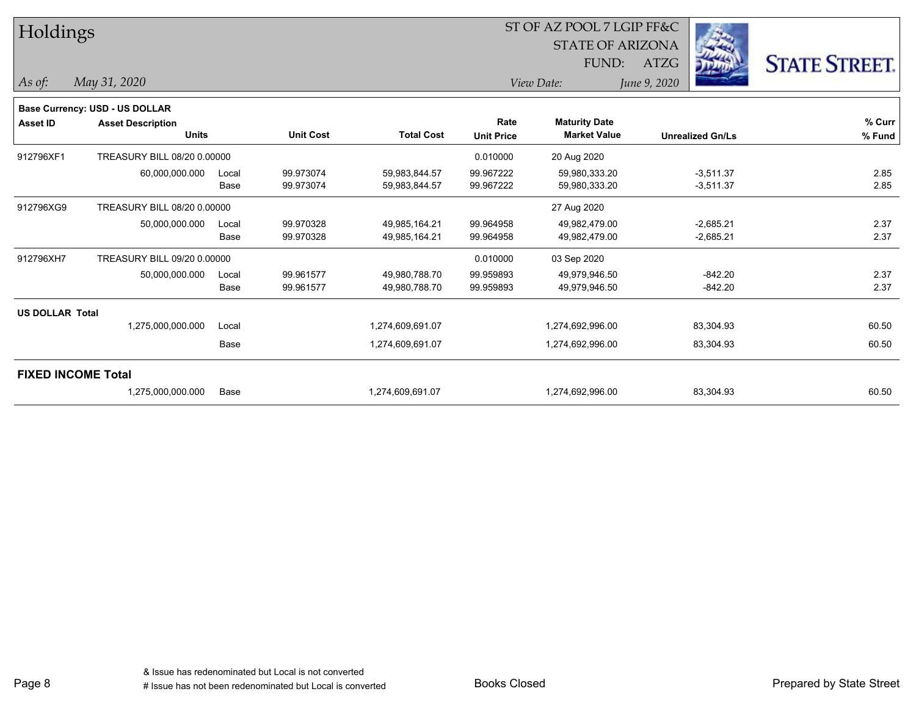| Holdings                  |                                          |       |                  |                   |                           | ST OF AZ POOL 7 LGIP FF&C                   |              |                         |                      |
|---------------------------|------------------------------------------|-------|------------------|-------------------|---------------------------|---------------------------------------------|--------------|-------------------------|----------------------|
|                           |                                          |       |                  |                   |                           | <b>STATE OF ARIZONA</b>                     |              | - -                     |                      |
|                           |                                          |       |                  |                   |                           | FUND:                                       | <b>ATZG</b>  | $\frac{1}{2}$           | <b>STATE STREET.</b> |
| As of:                    | May 31, 2020                             |       |                  |                   |                           | View Date:                                  | June 9, 2020 |                         |                      |
|                           | <b>Base Currency: USD - US DOLLAR</b>    |       |                  |                   |                           |                                             |              |                         |                      |
| <b>Asset ID</b>           | <b>Asset Description</b><br><b>Units</b> |       | <b>Unit Cost</b> | <b>Total Cost</b> | Rate<br><b>Unit Price</b> | <b>Maturity Date</b><br><b>Market Value</b> |              | <b>Unrealized Gn/Ls</b> | % Curr<br>% Fund     |
| 912796XF1                 | TREASURY BILL 08/20 0.00000              |       |                  |                   | 0.010000                  | 20 Aug 2020                                 |              |                         |                      |
|                           | 60,000,000.000                           | Local | 99.973074        | 59,983,844.57     | 99.967222                 | 59,980,333.20                               |              | $-3,511.37$             | 2.85                 |
|                           |                                          | Base  | 99.973074        | 59,983,844.57     | 99.967222                 | 59,980,333.20                               |              | $-3,511.37$             | 2.85                 |
| 912796XG9                 | TREASURY BILL 08/20 0.00000              |       |                  |                   |                           | 27 Aug 2020                                 |              |                         |                      |
|                           | 50,000,000.000                           | Local | 99.970328        | 49,985,164.21     | 99.964958                 | 49,982,479.00                               |              | $-2,685.21$             | 2.37                 |
|                           |                                          | Base  | 99.970328        | 49,985,164.21     | 99.964958                 | 49,982,479.00                               |              | $-2,685.21$             | 2.37                 |
| 912796XH7                 | TREASURY BILL 09/20 0.00000              |       |                  |                   | 0.010000                  | 03 Sep 2020                                 |              |                         |                      |
|                           | 50,000,000.000                           | Local | 99.961577        | 49,980,788.70     | 99.959893                 | 49,979,946.50                               |              | $-842.20$               | 2.37                 |
|                           |                                          | Base  | 99.961577        | 49,980,788.70     | 99.959893                 | 49,979,946.50                               |              | $-842.20$               | 2.37                 |
| <b>US DOLLAR Total</b>    |                                          |       |                  |                   |                           |                                             |              |                         |                      |
|                           | 1,275,000,000.000                        | Local |                  | 1,274,609,691.07  |                           | 1,274,692,996.00                            |              | 83,304.93               | 60.50                |
|                           |                                          | Base  |                  | 1,274,609,691.07  |                           | 1,274,692,996.00                            |              | 83,304.93               | 60.50                |
| <b>FIXED INCOME Total</b> |                                          |       |                  |                   |                           |                                             |              |                         |                      |
|                           | 1,275,000,000.000                        | Base  |                  | 1,274,609,691.07  |                           | 1,274,692,996.00                            |              | 83,304.93               | 60.50                |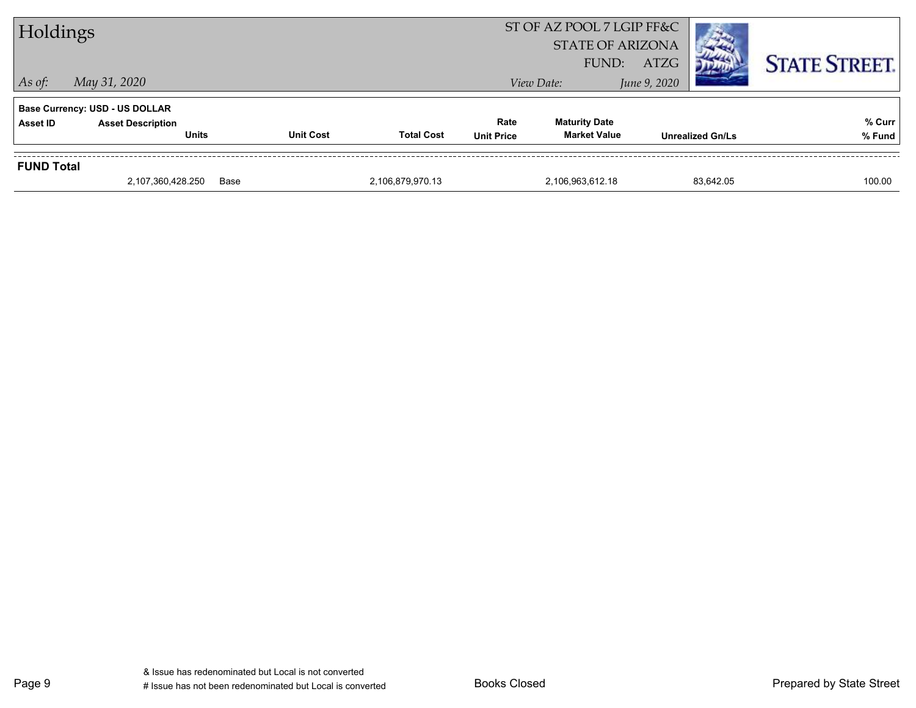| <b>FUND Total</b> |                                                                                   |                  |                   |                           |                                             |                         |  |                      |
|-------------------|-----------------------------------------------------------------------------------|------------------|-------------------|---------------------------|---------------------------------------------|-------------------------|--|----------------------|
| <b>Asset ID</b>   | <b>Base Currency: USD - US DOLLAR</b><br><b>Asset Description</b><br><b>Units</b> | <b>Unit Cost</b> | <b>Total Cost</b> | Rate<br><b>Unit Price</b> | <b>Maturity Date</b><br><b>Market Value</b> | <b>Unrealized Gn/Ls</b> |  | % Curr<br>% Fund     |
| $\vert$ As of:    | May 31, 2020                                                                      |                  |                   |                           | View Date:                                  | June 9, 2020            |  |                      |
|                   |                                                                                   |                  |                   |                           | <b>STATE OF ARIZONA</b><br>FUND:            | <b>ATZG</b>             |  | <b>STATE STREET.</b> |
| Holdings          |                                                                                   |                  |                   |                           | ST OF AZ POOL 7 LGIP FF&C                   |                         |  |                      |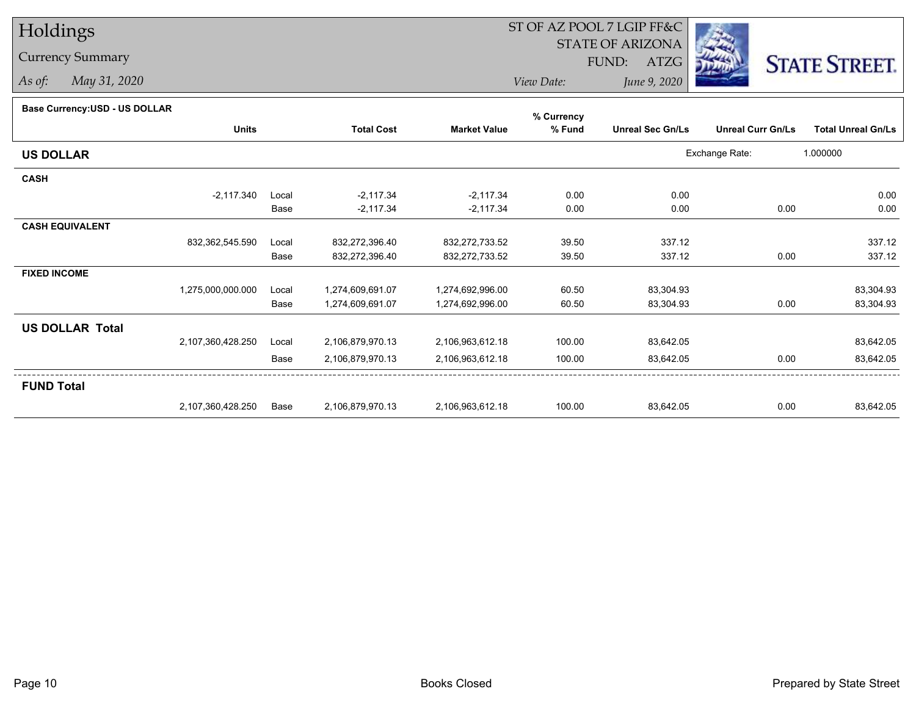## Holdings

## Currency Summary

*As of: May 31, 2020*

## ST OF AZ POOL 7 LGIP FF&C

STATE OF ARIZONA

FUND: ATZG



*View Date:June 9, 2020*

| <b>Base Currency: USD - US DULLAR</b> |                   |       |                   |                     | % Currency |                         |                          |                           |
|---------------------------------------|-------------------|-------|-------------------|---------------------|------------|-------------------------|--------------------------|---------------------------|
|                                       | <b>Units</b>      |       | <b>Total Cost</b> | <b>Market Value</b> | % Fund     | <b>Unreal Sec Gn/Ls</b> | <b>Unreal Curr Gn/Ls</b> | <b>Total Unreal Gn/Ls</b> |
| <b>US DOLLAR</b>                      |                   |       |                   |                     |            |                         | Exchange Rate:           | 1.000000                  |
| <b>CASH</b>                           |                   |       |                   |                     |            |                         |                          |                           |
|                                       | $-2,117.340$      | Local | $-2,117.34$       | $-2,117.34$         | 0.00       | 0.00                    |                          | 0.00                      |
|                                       |                   | Base  | $-2,117.34$       | $-2,117.34$         | 0.00       | 0.00                    | 0.00                     | 0.00                      |
| <b>CASH EQUIVALENT</b>                |                   |       |                   |                     |            |                         |                          |                           |
|                                       | 832,362,545.590   | Local | 832,272,396.40    | 832,272,733.52      | 39.50      | 337.12                  |                          | 337.12                    |
|                                       |                   | Base  | 832,272,396.40    | 832,272,733.52      | 39.50      | 337.12                  | 0.00                     | 337.12                    |
| <b>FIXED INCOME</b>                   |                   |       |                   |                     |            |                         |                          |                           |
|                                       | 1,275,000,000.000 | Local | 1,274,609,691.07  | 1,274,692,996.00    | 60.50      | 83,304.93               |                          | 83,304.93                 |
|                                       |                   | Base  | 1,274,609,691.07  | 1,274,692,996.00    | 60.50      | 83,304.93               | 0.00                     | 83,304.93                 |
| <b>US DOLLAR Total</b>                |                   |       |                   |                     |            |                         |                          |                           |
|                                       | 2,107,360,428.250 | Local | 2,106,879,970.13  | 2,106,963,612.18    | 100.00     | 83,642.05               |                          | 83,642.05                 |
|                                       |                   | Base  | 2,106,879,970.13  | 2,106,963,612.18    | 100.00     | 83,642.05               | 0.00                     | 83,642.05                 |
| <b>FUND Total</b>                     |                   |       |                   |                     |            |                         |                          |                           |
|                                       | 2,107,360,428.250 | Base  | 2,106,879,970.13  | 2,106,963,612.18    | 100.00     | 83,642.05               | 0.00                     | 83,642.05                 |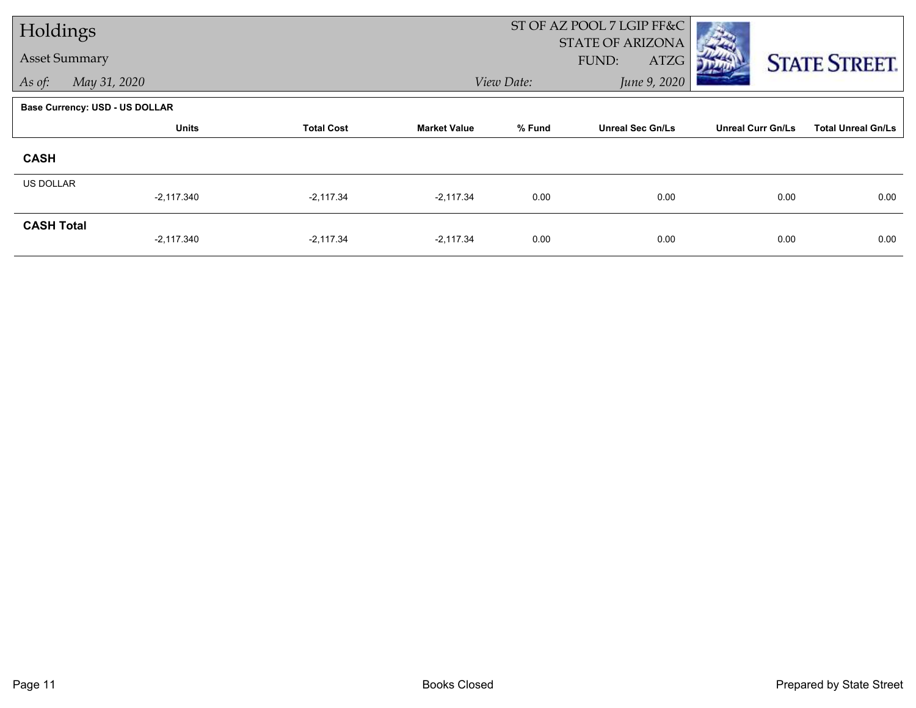| Holdings             |                                       |                   |                     |            | ST OF AZ POOL 7 LGIP FF&C<br>STATE OF ARIZONA |                          |                           |
|----------------------|---------------------------------------|-------------------|---------------------|------------|-----------------------------------------------|--------------------------|---------------------------|
| <b>Asset Summary</b> |                                       |                   |                     |            | FUND:<br>ATZG                                 |                          | <b>STATE STREET.</b>      |
| As of:               | May 31, 2020                          |                   |                     | View Date: | June 9, 2020                                  |                          |                           |
|                      | <b>Base Currency: USD - US DOLLAR</b> |                   |                     |            |                                               |                          |                           |
|                      | <b>Units</b>                          | <b>Total Cost</b> | <b>Market Value</b> | % Fund     | <b>Unreal Sec Gn/Ls</b>                       | <b>Unreal Curr Gn/Ls</b> | <b>Total Unreal Gn/Ls</b> |
| <b>CASH</b>          |                                       |                   |                     |            |                                               |                          |                           |
| <b>US DOLLAR</b>     |                                       |                   |                     |            |                                               |                          |                           |
|                      | $-2,117.340$                          | $-2,117.34$       | $-2,117.34$         | 0.00       | 0.00                                          | 0.00                     | 0.00                      |
| <b>CASH Total</b>    | $-2,117.340$                          | $-2,117.34$       | $-2,117.34$         | 0.00       | 0.00                                          | 0.00                     | 0.00                      |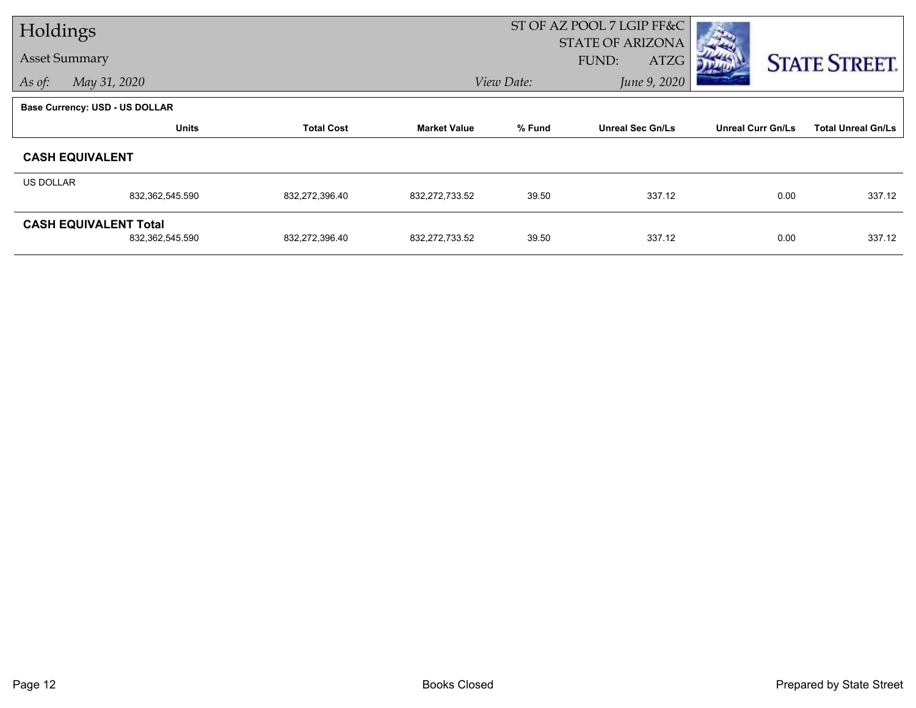| Holdings             |                                |                   |                     |            | ST OF AZ POOL 7 LGIP FF&C                |                          |                           |
|----------------------|--------------------------------|-------------------|---------------------|------------|------------------------------------------|--------------------------|---------------------------|
| <b>Asset Summary</b> |                                |                   |                     |            | <b>STATE OF ARIZONA</b><br>FUND:<br>ATZG |                          |                           |
| As of:               | May 31, 2020                   |                   |                     | View Date: | June 9, 2020                             |                          | <b>STATE STREET.</b>      |
|                      |                                |                   |                     |            |                                          |                          |                           |
|                      | Base Currency: USD - US DOLLAR |                   |                     |            |                                          |                          |                           |
|                      | <b>Units</b>                   | <b>Total Cost</b> | <b>Market Value</b> | % Fund     | <b>Unreal Sec Gn/Ls</b>                  | <b>Unreal Curr Gn/Ls</b> | <b>Total Unreal Gn/Ls</b> |
|                      | <b>CASH EQUIVALENT</b>         |                   |                     |            |                                          |                          |                           |
| <b>US DOLLAR</b>     |                                |                   |                     |            |                                          |                          |                           |
|                      | 832,362,545.590                | 832,272,396.40    | 832,272,733.52      | 39.50      | 337.12                                   | 0.00                     | 337.12                    |
|                      | <b>CASH EQUIVALENT Total</b>   |                   |                     |            |                                          |                          |                           |
|                      | 832,362,545.590                | 832,272,396.40    | 832, 272, 733.52    | 39.50      | 337.12                                   | 0.00                     | 337.12                    |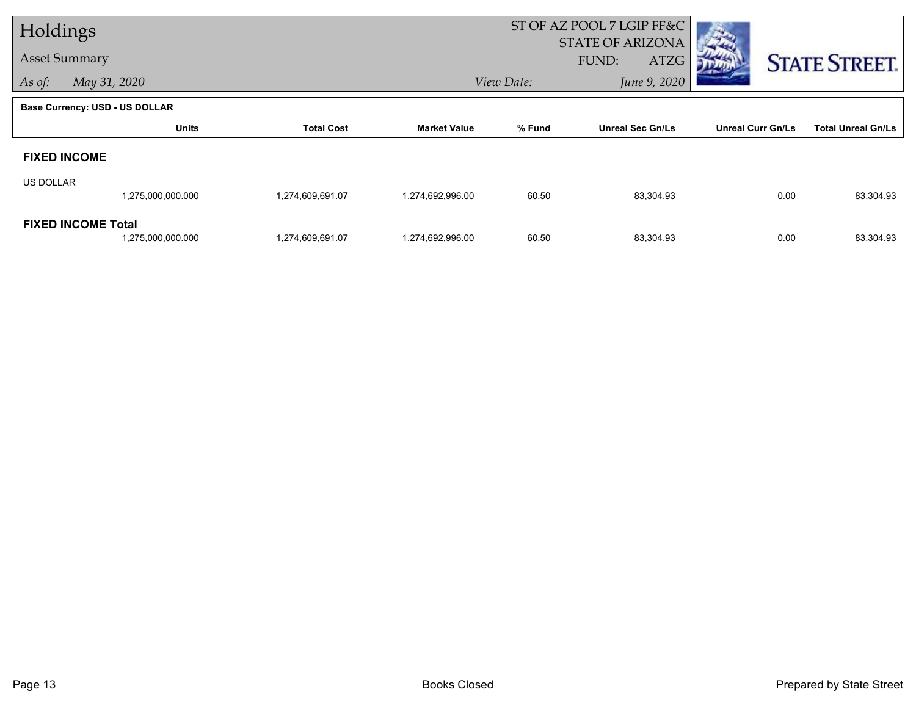| Holdings                  |                                |                   |                                                          |            | ST OF AZ POOL 7 LGIP FF&C |                          |                           |  |
|---------------------------|--------------------------------|-------------------|----------------------------------------------------------|------------|---------------------------|--------------------------|---------------------------|--|
| <b>Asset Summary</b>      |                                |                   |                                                          |            | <b>STATE OF ARIZONA</b>   |                          |                           |  |
|                           |                                |                   |                                                          |            | FUND:<br>ATZG             |                          | <b>STATE STREET.</b>      |  |
| As of:                    | May 31, 2020                   |                   |                                                          | View Date: | June 9, 2020              |                          |                           |  |
|                           | Base Currency: USD - US DOLLAR |                   |                                                          |            |                           |                          |                           |  |
|                           | <b>Units</b>                   | <b>Total Cost</b> | % Fund<br><b>Unreal Sec Gn/Ls</b><br><b>Market Value</b> |            |                           | <b>Unreal Curr Gn/Ls</b> | <b>Total Unreal Gn/Ls</b> |  |
|                           | <b>FIXED INCOME</b>            |                   |                                                          |            |                           |                          |                           |  |
| <b>US DOLLAR</b>          |                                |                   |                                                          |            |                           |                          |                           |  |
|                           | 1,275,000,000.000              | 1,274,609,691.07  | 1,274,692,996.00                                         | 60.50      | 83,304.93                 | 0.00                     | 83,304.93                 |  |
| <b>FIXED INCOME Total</b> |                                |                   |                                                          |            |                           |                          |                           |  |
|                           | 1,275,000,000.000              | 1,274,609,691.07  | 1,274,692,996.00                                         | 60.50      | 83,304.93                 | 0.00                     | 83,304.93                 |  |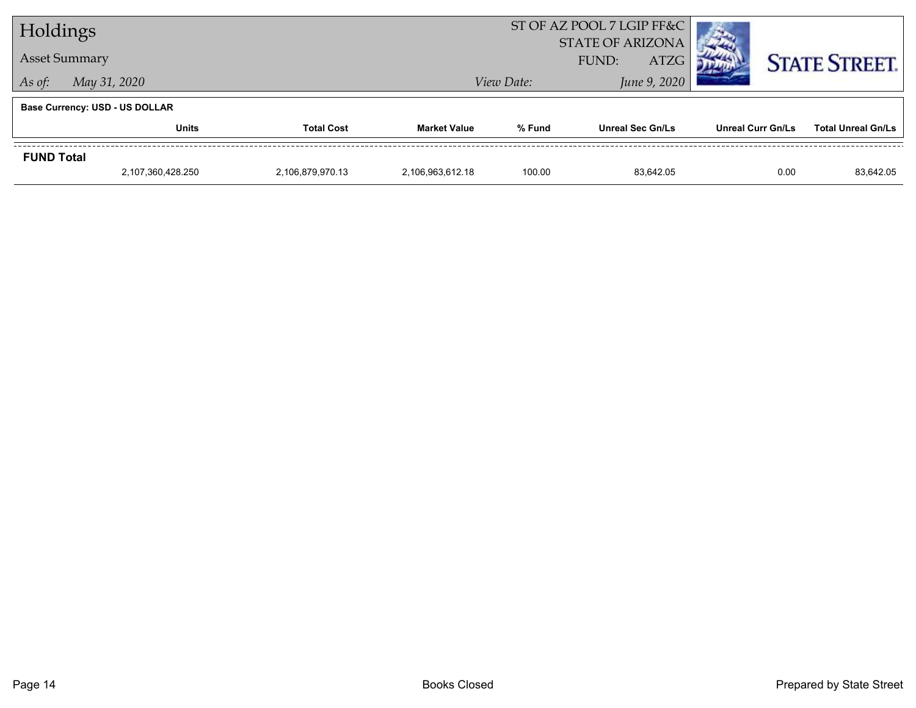| Holdings             |                                       |                   |                     | ST OF AZ POOL 7 LGIP FF&C            |                         |                          |                           |
|----------------------|---------------------------------------|-------------------|---------------------|--------------------------------------|-------------------------|--------------------------|---------------------------|
| <b>Asset Summary</b> |                                       |                   |                     | <b>STATE OF ARIZONA</b>              |                         |                          |                           |
|                      |                                       |                   |                     | <b>ATZG</b><br>FUND:<br>June 9, 2020 |                         |                          | <b>STATE STREET.</b>      |
|                      | May 31, 2020<br>As of:                |                   |                     | View Date:                           |                         |                          |                           |
|                      | <b>Base Currency: USD - US DOLLAR</b> |                   |                     |                                      |                         |                          |                           |
|                      | Units                                 | <b>Total Cost</b> | <b>Market Value</b> | % Fund                               | <b>Unreal Sec Gn/Ls</b> | <b>Unreal Curr Gn/Ls</b> | <b>Total Unreal Gn/Ls</b> |
| <b>FUND Total</b>    |                                       |                   |                     |                                      |                         |                          |                           |
|                      | 2,107,360,428.250                     | 2,106,879,970.13  | 2.106.963.612.18    | 100.00                               | 83.642.05               | 0.00                     | 83,642.05                 |